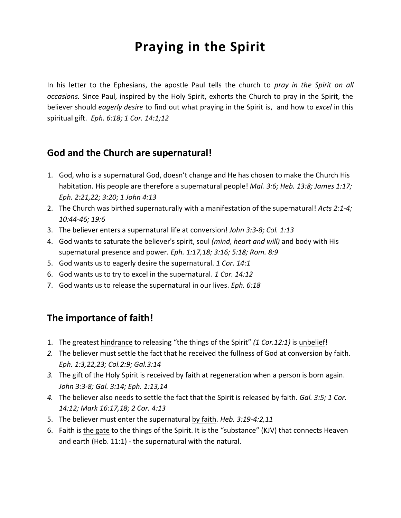# **Praying in the Spirit**

In his letter to the Ephesians, the apostle Paul tells the church to *pray in the Spirit on all occasions.* Since Paul, inspired by the Holy Spirit, exhorts the Church to pray in the Spirit, the believer should *eagerly desire* to find out what praying in the Spirit is, and how to *excel* in this spiritual gift. *Eph. 6:18; 1 Cor. 14:1;12*

#### **God and the Church are supernatural!**

- 1. God, who is a supernatural God, doesn't change and He has chosen to make the Church His habitation. His people are therefore a supernatural people! *Mal. 3:6; Heb. 13:8; James 1:17; Eph. 2:21,22; 3:20; 1 John 4:13*
- 2. The Church was birthed supernaturally with a manifestation of the supernatural! *Acts 2:1-4; 10:44-46; 19:6*
- 3. The believer enters a supernatural life at conversion! *John 3:3-8; Col. 1:13*
- 4. God wants to saturate the believer's spirit, soul *(mind, heart and will)* and body with His supernatural presence and power. *Eph. 1:17,18; 3:16; 5:18; Rom. 8:9*
- 5. God wants us to eagerly desire the supernatural. *1 Cor. 14:1*
- 6. God wants us to try to excel in the supernatural. *1 Cor. 14:12*
- 7. God wants us to release the supernatural in our lives. *Eph. 6:18*

### **The importance of faith!**

- 1. The greatest hindrance to releasing "the things of the Spirit" *(1 Cor.12:1)* is unbelief!
- *2.* The believer must settle the fact that he received the fullness of God at conversion by faith. *Eph. 1:3,22,23; Col.2:9; Gal.3:14*
- *3.* The gift of the Holy Spirit is received by faith at regeneration when a person is born again. *John 3:3-8; Gal. 3:14; Eph. 1:13,14*
- *4.* The believer also needs to settle the fact that the Spirit is released by faith. *Gal. 3:5; 1 Cor. 14:12; Mark 16:17,18; 2 Cor. 4:13*
- 5. The believer must enter the supernatural by faith. *Heb. 3:19-4:2,11*
- 6. Faith is the gate to the things of the Spirit. It is the "substance" (KJV) that connects Heaven and earth (Heb. 11:1) - the supernatural with the natural.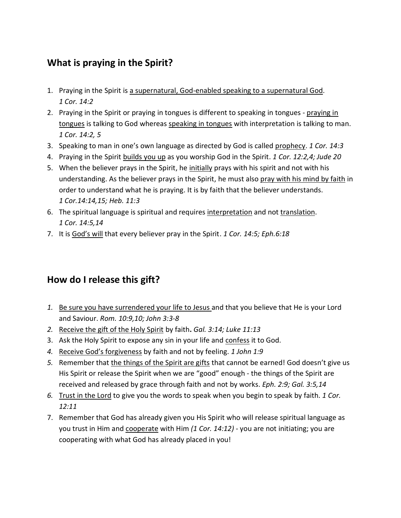## **What is praying in the Spirit?**

- 1. Praying in the Spirit is a supernatural, God-enabled speaking to a supernatural God. *1 Cor. 14:2*
- 2. Praying in the Spirit or praying in tongues is different to speaking in tongues praying in tongues is talking to God whereas speaking in tongues with interpretation is talking to man. *1 Cor. 14:2, 5*
- 3. Speaking to man in one's own language as directed by God is called prophecy. *1 Cor. 14:3*
- 4. Praying in the Spirit builds you up as you worship God in the Spirit. *1 Cor. 12:2,4; Jude 20*
- 5. When the believer prays in the Spirit, he initially prays with his spirit and not with his understanding. As the believer prays in the Spirit, he must also pray with his mind by faith in order to understand what he is praying. It is by faith that the believer understands. *1 Cor.14:14,15; Heb. 11:3*
- 6. The spiritual language is spiritual and requires interpretation and not translation. *1 Cor. 14:5,14*
- 7. It is God's will that every believer pray in the Spirit. *1 Cor. 14:5; Eph.6:18*

## **How do I release this gift?**

- *1.* Be sure you have surrendered your life to Jesus and that you believe that He is your Lord and Saviour. *Rom. 10:9,10; John 3:3-8*
- *2.* Receive the gift of the Holy Spirit by faith**.** *Gal. 3:14; Luke 11:13*
- 3. Ask the Holy Spirit to expose any sin in your life and confess it to God.
- *4.* Receive God's forgiveness by faith and not by feeling. *1 John 1:9*
- *5.* Remember that the things of the Spirit are gifts that cannot be earned! God doesn't give us His Spirit or release the Spirit when we are "good" enough - the things of the Spirit are received and released by grace through faith and not by works. *Eph. 2:9; Gal. 3:5,14*
- *6.* Trust in the Lord to give you the words to speak when you begin to speak by faith. *1 Cor. 12:11*
- 7. Remember that God has already given you His Spirit who will release spiritual language as you trust in Him and cooperate with Him *(1 Cor. 14:12)* - you are not initiating; you are cooperating with what God has already placed in you!